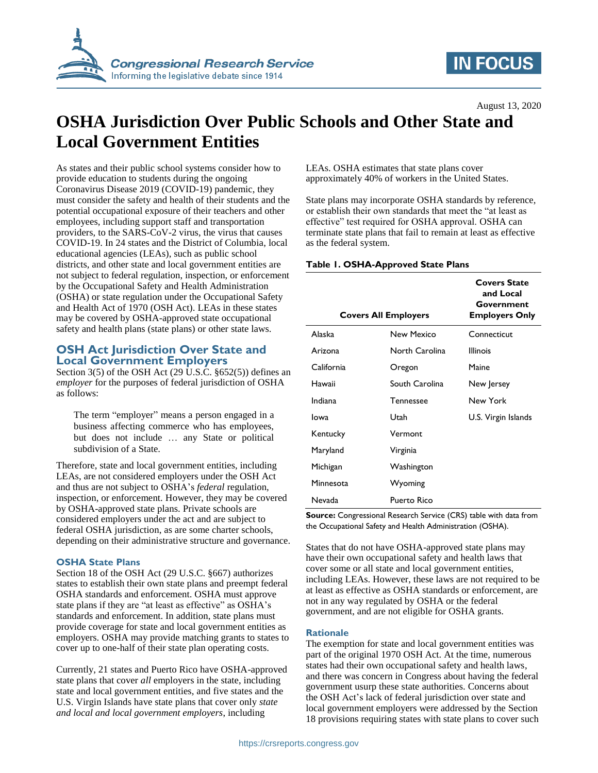

## **IN FOCUS**

August 13, 2020

# **OSHA Jurisdiction Over Public Schools and Other State and Local Government Entities**

As states and their public school systems consider how to provide education to students during the ongoing Coronavirus Disease 2019 (COVID-19) pandemic, they must consider the safety and health of their students and the potential occupational exposure of their teachers and other employees, including support staff and transportation providers, to the SARS-CoV-2 virus, the virus that causes COVID-19. In 24 states and the District of Columbia, local educational agencies (LEAs), such as public school districts, and other state and local government entities are not subject to federal regulation, inspection, or enforcement by the Occupational Safety and Health Administration (OSHA) or state regulation under the Occupational Safety and Health Act of 1970 (OSH Act). LEAs in these states may be covered by OSHA-approved state occupational safety and health plans (state plans) or other state laws.

## **OSH Act Jurisdiction Over State and Local Government Employers**

Section 3(5) of the OSH Act (29 U.S.C.  $\S 652(5)$ ) defines an *employer* for the purposes of federal jurisdiction of OSHA as follows:

The term "employer" means a person engaged in a business affecting commerce who has employees, but does not include … any State or political subdivision of a State.

Therefore, state and local government entities, including LEAs, are not considered employers under the OSH Act and thus are not subject to OSHA's *federal* regulation, inspection, or enforcement. However, they may be covered by OSHA-approved state plans. Private schools are considered employers under the act and are subject to federal OSHA jurisdiction, as are some charter schools, depending on their administrative structure and governance.

#### **OSHA State Plans**

Section 18 of the OSH Act (29 U.S.C. §667) authorizes states to establish their own state plans and preempt federal OSHA standards and enforcement. OSHA must approve state plans if they are "at least as effective" as OSHA's standards and enforcement. In addition, state plans must provide coverage for state and local government entities as employers. OSHA may provide matching grants to states to cover up to one-half of their state plan operating costs.

Currently, 21 states and Puerto Rico have OSHA-approved state plans that cover *all* employers in the state, including state and local government entities, and five states and the U.S. Virgin Islands have state plans that cover only *state and local and local government employers*, including

LEAs. OSHA estimates that state plans cover approximately 40% of workers in the United States.

State plans may incorporate OSHA standards by reference, or establish their own standards that meet the "at least as effective" test required for OSHA approval. OSHA can terminate state plans that fail to remain at least as effective as the federal system.

#### **Table 1. OSHA-Approved State Plans**

| <b>Covers All Employers</b> |                  | <b>Covers State</b><br>and Local<br>Government<br><b>Employers Only</b> |
|-----------------------------|------------------|-------------------------------------------------------------------------|
| Alaska                      | New Mexico       | Connecticut                                                             |
| Arizona                     | North Carolina   | <b>Illinois</b>                                                         |
| California                  | Oregon           | Maine                                                                   |
| Hawaii                      | South Carolina   | New Jersey                                                              |
| Indiana                     | <b>Tennessee</b> | New York                                                                |
| lowa                        | Utah             | U.S. Virgin Islands                                                     |
| Kentucky                    | Vermont          |                                                                         |
| Maryland                    | Virginia         |                                                                         |
| Michigan                    | Washington       |                                                                         |
| Minnesota                   | Wyoming          |                                                                         |
| Nevada                      | Puerto Rico      |                                                                         |

**Source:** Congressional Research Service (CRS) table with data from the Occupational Safety and Health Administration (OSHA).

States that do not have OSHA-approved state plans may have their own occupational safety and health laws that cover some or all state and local government entities, including LEAs. However, these laws are not required to be at least as effective as OSHA standards or enforcement, are not in any way regulated by OSHA or the federal government, and are not eligible for OSHA grants.

#### **Rationale**

The exemption for state and local government entities was part of the original 1970 OSH Act. At the time, numerous states had their own occupational safety and health laws, and there was concern in Congress about having the federal government usurp these state authorities. Concerns about the OSH Act's lack of federal jurisdiction over state and local government employers were addressed by the Section 18 provisions requiring states with state plans to cover such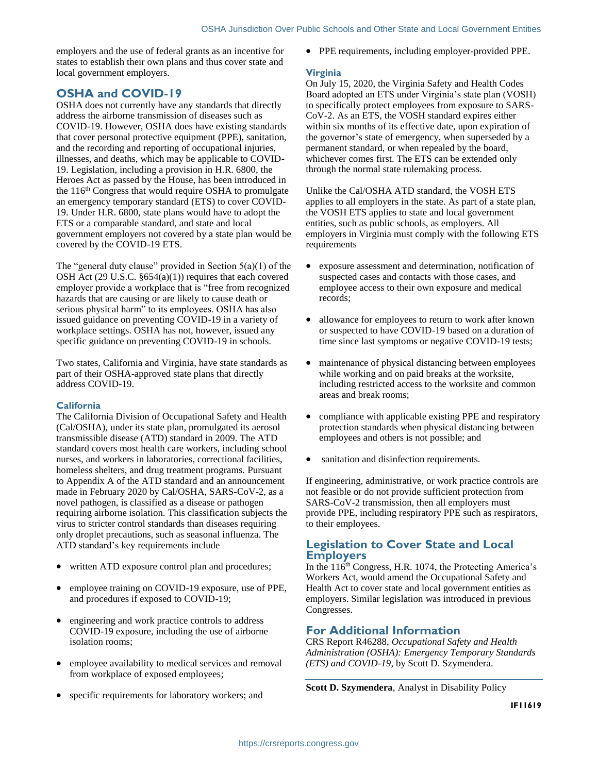employers and the use of federal grants as an incentive for states to establish their own plans and thus cover state and local government employers.

## **OSHA and COVID-19**

OSHA does not currently have any standards that directly address the airborne transmission of diseases such as COVID-19. However, OSHA does have existing standards that cover personal protective equipment (PPE), sanitation, and the recording and reporting of occupational injuries, illnesses, and deaths, which may be applicable to COVID-19. Legislation, including a provision in H.R. 6800, the Heroes Act as passed by the House, has been introduced in the  $116<sup>th</sup> Congress that would require OSHA to promulgate$ an emergency temporary standard (ETS) to cover COVID-19. Under H.R. 6800, state plans would have to adopt the ETS or a comparable standard, and state and local government employers not covered by a state plan would be covered by the COVID-19 ETS.

The "general duty clause" provided in Section  $5(a)(1)$  of the OSH Act (29 U.S.C. §654(a)(1)) requires that each covered employer provide a workplace that is "free from recognized hazards that are causing or are likely to cause death or serious physical harm" to its employees. OSHA has also issued guidance on preventing COVID-19 in a variety of workplace settings. OSHA has not, however, issued any specific guidance on preventing COVID-19 in schools.

Two states, California and Virginia, have state standards as part of their OSHA-approved state plans that directly address COVID-19.

### **California**

The California Division of Occupational Safety and Health (Cal/OSHA), under its state plan, promulgated its aerosol transmissible disease (ATD) standard in 2009. The ATD standard covers most health care workers, including school nurses, and workers in laboratories, correctional facilities, homeless shelters, and drug treatment programs. Pursuant to Appendix A of the ATD standard and an announcement made in February 2020 by Cal/OSHA, SARS-CoV-2, as a novel pathogen, is classified as a disease or pathogen requiring airborne isolation. This classification subjects the virus to stricter control standards than diseases requiring only droplet precautions, such as seasonal influenza. The ATD standard's key requirements include

- written ATD exposure control plan and procedures;
- employee training on COVID-19 exposure, use of PPE, and procedures if exposed to COVID-19;
- engineering and work practice controls to address COVID-19 exposure, including the use of airborne isolation rooms;
- employee availability to medical services and removal from workplace of exposed employees;
- specific requirements for laboratory workers; and

• PPE requirements, including employer-provided PPE.

## **Virginia**

On July 15, 2020, the Virginia Safety and Health Codes Board adopted an ETS under Virginia's state plan (VOSH) to specifically protect employees from exposure to SARS-CoV-2. As an ETS, the VOSH standard expires either within six months of its effective date, upon expiration of the governor's state of emergency, when superseded by a permanent standard, or when repealed by the board, whichever comes first. The ETS can be extended only through the normal state rulemaking process.

Unlike the Cal/OSHA ATD standard, the VOSH ETS applies to all employers in the state. As part of a state plan, the VOSH ETS applies to state and local government entities, such as public schools, as employers. All employers in Virginia must comply with the following ETS requirements

- exposure assessment and determination, notification of suspected cases and contacts with those cases, and employee access to their own exposure and medical records;
- allowance for employees to return to work after known or suspected to have COVID-19 based on a duration of time since last symptoms or negative COVID-19 tests;
- maintenance of physical distancing between employees while working and on paid breaks at the worksite, including restricted access to the worksite and common areas and break rooms;
- compliance with applicable existing PPE and respiratory protection standards when physical distancing between employees and others is not possible; and
- sanitation and disinfection requirements.

If engineering, administrative, or work practice controls are not feasible or do not provide sufficient protection from SARS-CoV-2 transmission, then all employers must provide PPE, including respiratory PPE such as respirators, to their employees.

## **Legislation to Cover State and Local Employers**

In the 116<sup>th</sup> Congress, H.R. 1074, the Protecting America's Workers Act, would amend the Occupational Safety and Health Act to cover state and local government entities as employers. Similar legislation was introduced in previous Congresses.

## **For Additional Information**

CRS Report R46288, *Occupational Safety and Health Administration (OSHA): Emergency Temporary Standards (ETS) and COVID-19*, by Scott D. Szymendera.

**Scott D. Szymendera**, Analyst in Disability Policy